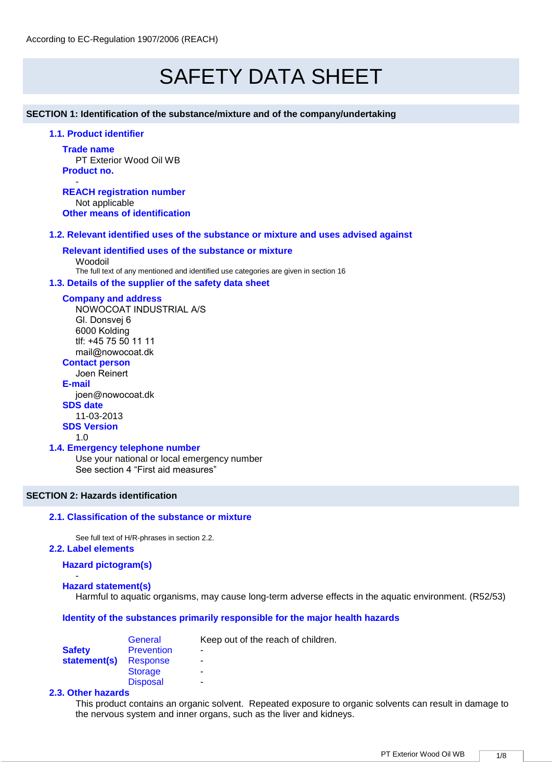# SAFETY DATA SHEET

**SECTION 1: Identification of the substance/mixture and of the company/undertaking** 

# **1.1. Product identifier**

**Trade name** PT Exterior Wood Oil WB **Product no.**

- **REACH registration number** Not applicable **Other means of identification**

### **1.2. Relevant identified uses of the substance or mixture and uses advised against**

# **Relevant identified uses of the substance or mixture**

Woodoil The full text of any mentioned and identified use categories are given in section 16

#### **1.3. Details of the supplier of the safety data sheet**

#### **Company and address**

NOWOCOAT INDUSTRIAL A/S Gl. Donsvej 6 6000 Kolding tlf: +45 75 50 11 11 mail@nowocoat.dk

# **Contact person**

Joen Reinert **E-mail** joen@nowocoat.dk **SDS date**  11-03-2013 **SDS Version**

1.0

#### **1.4. Emergency telephone number**

Use your national or local emergency number See section 4 "First aid measures"

# **SECTION 2: Hazards identification**

#### **2.1. Classification of the substance or mixture**

See full text of H/R-phrases in section 2.2.

**2.2. Label elements** 

## **Hazard pictogram(s)**

#### - **Hazard statement(s)**

Harmful to aquatic organisms, may cause long-term adverse effects in the aquatic environment. (R52/53)

#### **Identity of the substances primarily responsible for the major health hazards**

|               | General           | Keep out of the reach of children. |
|---------------|-------------------|------------------------------------|
| <b>Safety</b> | <b>Prevention</b> | ٠                                  |
| statement(s)  | Response          | ۰                                  |
|               | <b>Storage</b>    | -                                  |
|               | <b>Disposal</b>   | -                                  |

#### **2.3. Other hazards**

This product contains an organic solvent. Repeated exposure to organic solvents can result in damage to the nervous system and inner organs, such as the liver and kidneys.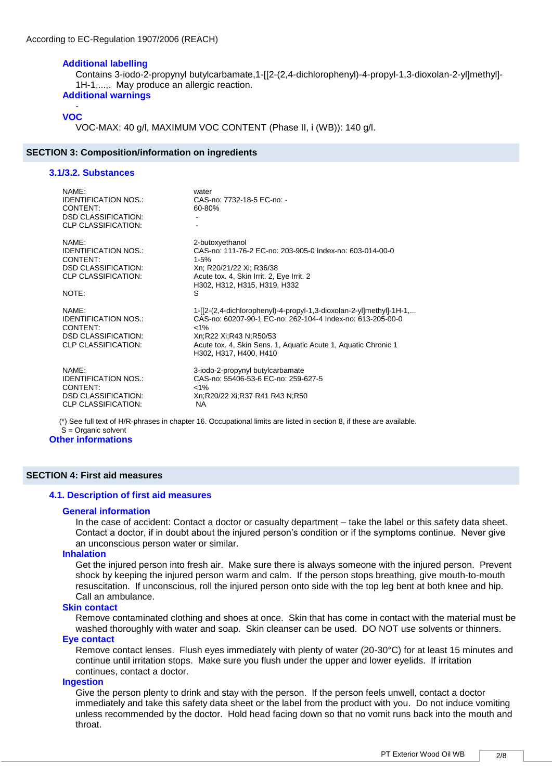#### **Additional labelling**

Contains 3-iodo-2-propynyl butylcarbamate,1-[[2-(2,4-dichlorophenyl)-4-propyl-1,3-dioxolan-2-yl]methyl]- 1H-1,...,. May produce an allergic reaction.

# **Additional warnings**

#### - **VOC**

VOC-MAX: 40 g/l, MAXIMUM VOC CONTENT (Phase II, i (WB)): 140 g/l.

#### **SECTION 3: Composition/information on ingredients**

#### **3.1/3.2. Substances**

| NAME:<br><b>IDENTIFICATION NOS.:</b><br>CONTENT:<br><b>DSD CLASSIFICATION:</b><br><b>CLP CLASSIFICATION:</b>          | water<br>CAS-no: 7732-18-5 EC-no: -<br>$60 - 80%$                                                                                                                                                                                                                  |
|-----------------------------------------------------------------------------------------------------------------------|--------------------------------------------------------------------------------------------------------------------------------------------------------------------------------------------------------------------------------------------------------------------|
| NAMF:<br><b>IDENTIFICATION NOS.:</b><br>CONTENT:<br><b>DSD CLASSIFICATION:</b><br><b>CLP CLASSIFICATION:</b><br>NOTE: | 2-butoxyethanol<br>CAS-no: 111-76-2 EC-no: 203-905-0 Index-no: 603-014-00-0<br>$1 - 5%$<br>Xn; R20/21/22 Xi; R36/38<br>Acute tox. 4, Skin Irrit. 2, Eye Irrit. 2<br>H302, H312, H315, H319, H332<br>S                                                              |
| NAME:<br><b>IDENTIFICATION NOS.:</b><br>CONTENT:<br><b>DSD CLASSIFICATION:</b><br><b>CLP CLASSIFICATION:</b>          | 1-[[2-(2,4-dichlorophenyl)-4-propyl-1,3-dioxolan-2-yl]methyl]-1H-1,<br>CAS-no: 60207-90-1 EC-no: 262-104-4 Index-no: 613-205-00-0<br>$< 1\%$<br>Xn;R22 Xi;R43 N;R50/53<br>Acute tox. 4, Skin Sens. 1, Aquatic Acute 1, Aquatic Chronic 1<br>H302, H317, H400, H410 |
| NAME:<br><b>IDENTIFICATION NOS.:</b><br>CONTENT:<br><b>DSD CLASSIFICATION:</b><br>CLP CLASSIFICATION:                 | 3-iodo-2-propynyl butylcarbamate<br>CAS-no: 55406-53-6 EC-no: 259-627-5<br>$< 1\%$<br>Xn:R20/22 Xi:R37 R41 R43 N:R50<br><b>NA</b>                                                                                                                                  |

(\*) See full text of H/R-phrases in chapter 16. Occupational limits are listed in section 8, if these are available. S = Organic solvent

**Other informations**

#### **SECTION 4: First aid measures**

## **4.1. Description of first aid measures**

#### **General information**

In the case of accident: Contact a doctor or casualty department – take the label or this safety data sheet. Contact a doctor, if in doubt about the injured person's condition or if the symptoms continue. Never give an unconscious person water or similar.

#### **Inhalation**

Get the injured person into fresh air. Make sure there is always someone with the injured person. Prevent shock by keeping the injured person warm and calm. If the person stops breathing, give mouth-to-mouth resuscitation. If unconscious, roll the injured person onto side with the top leg bent at both knee and hip. Call an ambulance.

#### **Skin contact**

Remove contaminated clothing and shoes at once. Skin that has come in contact with the material must be washed thoroughly with water and soap. Skin cleanser can be used. DO NOT use solvents or thinners.

# **Eye contact**

Remove contact lenses. Flush eyes immediately with plenty of water (20-30°C) for at least 15 minutes and continue until irritation stops. Make sure you flush under the upper and lower eyelids. If irritation continues, contact a doctor.

#### **Ingestion**

Give the person plenty to drink and stay with the person. If the person feels unwell, contact a doctor immediately and take this safety data sheet or the label from the product with you. Do not induce vomiting unless recommended by the doctor. Hold head facing down so that no vomit runs back into the mouth and throat.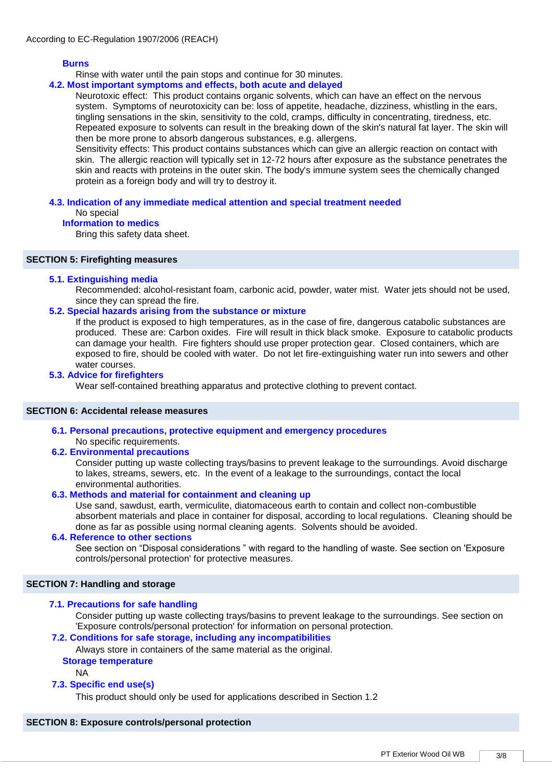### **Burns**

Rinse with water until the pain stops and continue for 30 minutes.

# **4.2. Most important symptoms and effects, both acute and delayed**

Neurotoxic effect: This product contains organic solvents, which can have an effect on the nervous system. Symptoms of neurotoxicity can be: loss of appetite, headache, dizziness, whistling in the ears, tingling sensations in the skin, sensitivity to the cold, cramps, difficulty in concentrating, tiredness, etc. Repeated exposure to solvents can result in the breaking down of the skin's natural fat layer. The skin will then be more prone to absorb dangerous substances, e.g. allergens.

Sensitivity effects: This product contains substances which can give an allergic reaction on contact with skin. The allergic reaction will typically set in 12-72 hours after exposure as the substance penetrates the skin and reacts with proteins in the outer skin. The body's immune system sees the chemically changed protein as a foreign body and will try to destroy it.

#### **4.3. Indication of any immediate medical attention and special treatment needed**  No special

# **Information to medics**

Bring this safety data sheet.

#### **SECTION 5: Firefighting measures**

#### **5.1. Extinguishing media**

Recommended: alcohol-resistant foam, carbonic acid, powder, water mist. Water jets should not be used, since they can spread the fire.

### **5.2. Special hazards arising from the substance or mixture**

If the product is exposed to high temperatures, as in the case of fire, dangerous catabolic substances are produced. These are: Carbon oxides. Fire will result in thick black smoke. Exposure to catabolic products can damage your health. Fire fighters should use proper protection gear. Closed containers, which are exposed to fire, should be cooled with water. Do not let fire-extinguishing water run into sewers and other water courses.

#### **5.3. Advice for firefighters**

Wear self-contained breathing apparatus and protective clothing to prevent contact.

#### **SECTION 6: Accidental release measures**

**6.1. Personal precautions, protective equipment and emergency procedures** 

# No specific requirements.

# **6.2. Environmental precautions**

Consider putting up waste collecting trays/basins to prevent leakage to the surroundings. Avoid discharge to lakes, streams, sewers, etc. In the event of a leakage to the surroundings, contact the local environmental authorities.

#### **6.3. Methods and material for containment and cleaning up**

Use sand, sawdust, earth, vermiculite, diatomaceous earth to contain and collect non-combustible absorbent materials and place in container for disposal, according to local regulations. Cleaning should be done as far as possible using normal cleaning agents. Solvents should be avoided.

#### **6.4. Reference to other sections**

See section on "Disposal considerations " with regard to the handling of waste. See section on 'Exposure controls/personal protection' for protective measures.

#### **SECTION 7: Handling and storage**

#### **7.1. Precautions for safe handling**

Consider putting up waste collecting trays/basins to prevent leakage to the surroundings. See section on 'Exposure controls/personal protection' for information on personal protection.

# **7.2. Conditions for safe storage, including any incompatibilities**

Always store in containers of the same material as the original.

# **Storage temperature**

NA

#### **7.3. Specific end use(s)**

This product should only be used for applications described in Section 1.2

#### **SECTION 8: Exposure controls/personal protection**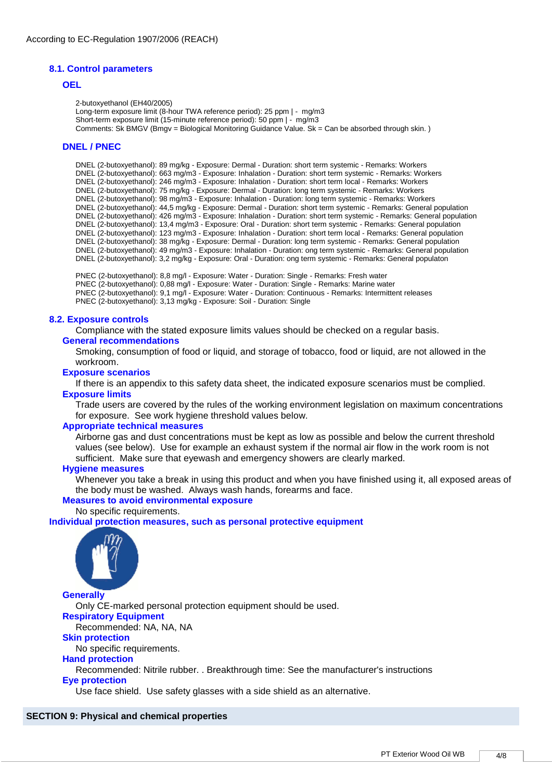#### **8.1. Control parameters**

#### **OEL**

2-butoxyethanol (EH40/2005) Long-term exposure limit (8-hour TWA reference period): 25 ppm | - mg/m3 Short-term exposure limit (15-minute reference period): 50 ppm | - mg/m3 Comments: Sk BMGV (Bmgv = Biological Monitoring Guidance Value. Sk = Can be absorbed through skin. )

#### **DNEL / PNEC**

DNEL (2-butoxyethanol): 89 mg/kg - Exposure: Dermal - Duration: short term systemic - Remarks: Workers DNEL (2-butoxyethanol): 663 mg/m3 - Exposure: Inhalation - Duration: short term systemic - Remarks: Workers DNEL (2-butoxyethanol): 246 mg/m3 - Exposure: Inhalation - Duration: short term local - Remarks: Workers DNEL (2-butoxyethanol): 75 mg/kg - Exposure: Dermal - Duration: long term systemic - Remarks: Workers DNEL (2-butoxyethanol): 98 mg/m3 - Exposure: Inhalation - Duration: long term systemic - Remarks: Workers DNEL (2-butoxyethanol): 44,5 mg/kg - Exposure: Dermal - Duration: short term systemic - Remarks: General population DNEL (2-butoxyethanol): 426 mg/m3 - Exposure: Inhalation - Duration: short term systemic - Remarks: General population DNEL (2-butoxyethanol): 13,4 mg/m3 - Exposure: Oral - Duration: short term systemic - Remarks: General population DNEL (2-butoxyethanol): 123 mg/m3 - Exposure: Inhalation - Duration: short term local - Remarks: General population DNEL (2-butoxyethanol): 38 mg/kg - Exposure: Dermal - Duration: long term systemic - Remarks: General population DNEL (2-butoxyethanol): 49 mg/m3 - Exposure: Inhalation - Duration: ong term systemic - Remarks: General population DNEL (2-butoxyethanol): 3,2 mg/kg - Exposure: Oral - Duration: ong term systemic - Remarks: General populaton

PNEC (2-butoxyethanol): 8,8 mg/l - Exposure: Water - Duration: Single - Remarks: Fresh water PNEC (2-butoxyethanol): 0,88 mg/l - Exposure: Water - Duration: Single - Remarks: Marine water PNEC (2-butoxyethanol): 9,1 mg/l - Exposure: Water - Duration: Continuous - Remarks: Intermittent releases PNEC (2-butoxyethanol): 3,13 mg/kg - Exposure: Soil - Duration: Single

#### **8.2. Exposure controls**

Compliance with the stated exposure limits values should be checked on a regular basis. **General recommendations**

Smoking, consumption of food or liquid, and storage of tobacco, food or liquid, are not allowed in the workroom.

#### **Exposure scenarios**

If there is an appendix to this safety data sheet, the indicated exposure scenarios must be complied. **Exposure limits**

Trade users are covered by the rules of the working environment legislation on maximum concentrations for exposure. See work hygiene threshold values below.

#### **Appropriate technical measures**

Airborne gas and dust concentrations must be kept as low as possible and below the current threshold values (see below). Use for example an exhaust system if the normal air flow in the work room is not sufficient. Make sure that eyewash and emergency showers are clearly marked.

#### **Hygiene measures**

Whenever you take a break in using this product and when you have finished using it, all exposed areas of the body must be washed. Always wash hands, forearms and face.

#### **Measures to avoid environmental exposure**

No specific requirements.

#### **Individual protection measures, such as personal protective equipment**



**Generally**

Only CE-marked personal protection equipment should be used.

# **Respiratory Equipment**

Recommended: NA, NA, NA

# **Skin protection**

No specific requirements.

#### **Hand protection**

Recommended: Nitrile rubber. . Breakthrough time: See the manufacturer's instructions **Eye protection**

Use face shield. Use safety glasses with a side shield as an alternative.

#### **SECTION 9: Physical and chemical properties**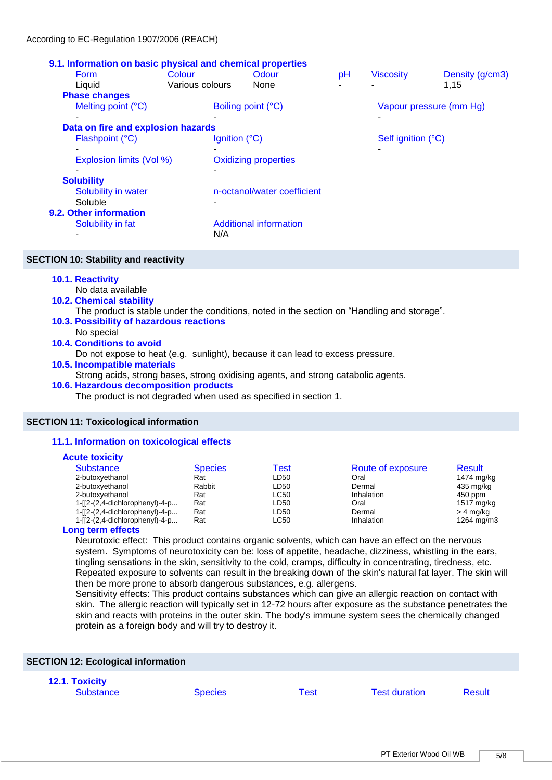### **9.1. Information on basic physical and chemical properties**

| <b>Form</b>                        | Colour          | Odour                         | pH | <b>Viscosity</b>   | Density (g/cm3)         |
|------------------------------------|-----------------|-------------------------------|----|--------------------|-------------------------|
| Liquid                             | Various colours | None                          |    |                    | 1,15                    |
| <b>Phase changes</b>               |                 |                               |    |                    |                         |
| Melting point (°C)                 |                 | Boiling point (°C)            |    |                    | Vapour pressure (mm Hg) |
|                                    |                 |                               |    |                    |                         |
| Data on fire and explosion hazards |                 |                               |    |                    |                         |
| Flashpoint (°C)                    |                 | Ignition $(^{\circ}C)$        |    | Self ignition (°C) |                         |
|                                    |                 |                               |    |                    |                         |
| Explosion limits (Vol %)           |                 | <b>Oxidizing properties</b>   |    |                    |                         |
|                                    |                 |                               |    |                    |                         |
| <b>Solubility</b>                  |                 |                               |    |                    |                         |
| Solubility in water                |                 | n-octanol/water coefficient   |    |                    |                         |
| Soluble                            | ۰               |                               |    |                    |                         |
| 9.2. Other information             |                 |                               |    |                    |                         |
| Solubility in fat                  |                 | <b>Additional information</b> |    |                    |                         |
|                                    | N/A             |                               |    |                    |                         |

### **SECTION 10: Stability and reactivity**

# **10.1. Reactivity**

- No data available
- **10.2. Chemical stability**

The product is stable under the conditions, noted in the section on "Handling and storage".

- **10.3. Possibility of hazardous reactions**
- No special
- **10.4. Conditions to avoid** 
	- Do not expose to heat (e.g. sunlight), because it can lead to excess pressure.

# **10.5. Incompatible materials**

Strong acids, strong bases, strong oxidising agents, and strong catabolic agents.

#### **10.6. Hazardous decomposition products**

The product is not degraded when used as specified in section 1.

# **SECTION 11: Toxicological information**

# **11.1. Information on toxicological effects**

#### **Acute toxicity**

| Substance                       | <b>Species</b> | Test        | Route of exposure | Result     |
|---------------------------------|----------------|-------------|-------------------|------------|
| 2-butoxyethanol                 | Rat            | LD50        | Oral              | 1474 mg/kg |
| 2-butoxyethanol                 | Rabbit         | LD50        | Dermal            | 435 mg/kg  |
| 2-butoxyethanol                 | Rat            | <b>LC50</b> | Inhalation        | 450 ppm    |
| $1-[2-(2,4-dichloropheny)]-4-p$ | Rat            | LD50        | Oral              | 1517 mg/kg |
| 1-[[2-(2,4-dichlorophenyl)-4-p  | Rat            | LD50        | Dermal            | > 4 mg/kg  |
| 1-[[2-(2,4-dichlorophenyl)-4-p  | Rat            | <b>LC50</b> | Inhalation        | 1264 mg/m3 |
| an a tanna allacta              |                |             |                   |            |

#### **Long term effects**

Neurotoxic effect: This product contains organic solvents, which can have an effect on the nervous system. Symptoms of neurotoxicity can be: loss of appetite, headache, dizziness, whistling in the ears, tingling sensations in the skin, sensitivity to the cold, cramps, difficulty in concentrating, tiredness, etc. Repeated exposure to solvents can result in the breaking down of the skin's natural fat layer. The skin will then be more prone to absorb dangerous substances, e.g. allergens.

Sensitivity effects: This product contains substances which can give an allergic reaction on contact with skin. The allergic reaction will typically set in 12-72 hours after exposure as the substance penetrates the skin and reacts with proteins in the outer skin. The body's immune system sees the chemically changed protein as a foreign body and will try to destroy it.

| <b>SECTION 12: Ecological information</b> |                |      |                      |        |  |  |
|-------------------------------------------|----------------|------|----------------------|--------|--|--|
| <b>12.1. Toxicity</b><br><b>Substance</b> | <b>Species</b> | Test | <b>Test duration</b> | Result |  |  |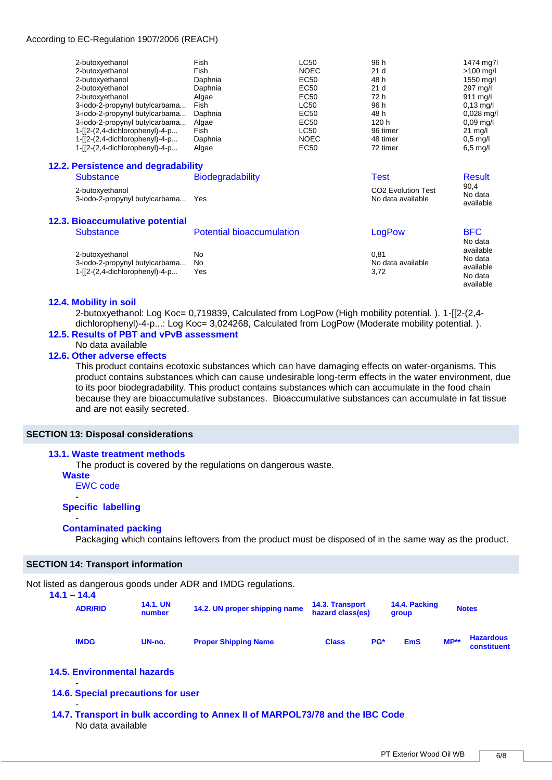#### According to EC-Regulation 1907/2006 (REACH)

|                                 | 2-butoxyethanol                                       | Fish                             | <b>LC50</b> | 96 h                                                | 1474 mg7l                         |
|---------------------------------|-------------------------------------------------------|----------------------------------|-------------|-----------------------------------------------------|-----------------------------------|
|                                 | 2-butoxyethanol                                       | Fish                             | <b>NOEC</b> | 21 <sub>d</sub>                                     | $>100$ mg/l                       |
|                                 | 2-butoxyethanol                                       | Daphnia                          | EC50        | 48 h                                                | 1550 mg/l                         |
|                                 | 2-butoxyethanol                                       | Daphnia                          | EC50        | 21 <sub>d</sub>                                     | 297 mg/l                          |
|                                 | 2-butoxyethanol                                       | Algae                            | <b>EC50</b> | 72 h                                                | 911 mg/l                          |
|                                 | 3-iodo-2-propynyl butylcarbama                        | Fish                             | <b>LC50</b> | 96 h                                                | $0,13 \text{ mg/l}$               |
|                                 | 3-iodo-2-propynyl butylcarbama                        | Daphnia                          | EC50        | 48 h                                                | $0,028$ mg/l                      |
|                                 | 3-iodo-2-propynyl butylcarbama                        | Algae                            | <b>EC50</b> | 120 h                                               | $0,09 \,\mathrm{mg/l}$            |
|                                 | 1-[[2-(2,4-dichlorophenyl)-4-p                        | Fish                             | <b>LC50</b> | 96 timer                                            | $21 \text{ mg/l}$                 |
|                                 | 1-[[2-(2,4-dichlorophenyl)-4-p                        | Daphnia                          | <b>NOEC</b> | 48 timer                                            | $0,5 \text{ mg/l}$                |
|                                 | 1-[[2-(2,4-dichlorophenyl)-4-p                        | Algae                            | EC50        | 72 timer                                            | $6,5 \text{ mg/l}$                |
|                                 | 12.2. Persistence and degradability                   |                                  |             |                                                     |                                   |
|                                 | <b>Substance</b>                                      | <b>Biodegradability</b>          |             | <b>Test</b>                                         | <b>Result</b>                     |
|                                 | 2-butoxyethanol<br>3-iodo-2-propynyl butylcarbama Yes |                                  |             | CO <sub>2</sub> Evolution Test<br>No data available | 90,4<br>No data<br>available      |
|                                 | <b>12.3. Bioaccumulative potential</b>                |                                  |             |                                                     |                                   |
|                                 | <b>Substance</b>                                      | <b>Potential bioaccumulation</b> |             | LogPow                                              | <b>BFC</b><br>No data             |
|                                 | 2-butoxyethanol                                       | No                               |             | 0.81                                                | available                         |
|                                 | 3-iodo-2-propynyl butylcarbama                        | No                               |             | No data available                                   | No data                           |
| $1-[2-(2,4-dichloropheny)]-4-p$ |                                                       | Yes                              |             | 3,72                                                | available<br>No data<br>available |

#### **12.4. Mobility in soil**

2-butoxyethanol: Log Koc= 0,719839, Calculated from LogPow (High mobility potential. ). 1-[[2-(2,4 dichlorophenyl)-4-p...: Log Koc= 3,024268, Calculated from LogPow (Moderate mobility potential.).

# **12.5. Results of PBT and vPvB assessment**

No data available

# **12.6. Other adverse effects**

This product contains ecotoxic substances which can have damaging effects on water-organisms. This product contains substances which can cause undesirable long-term effects in the water environment, due to its poor biodegradability. This product contains substances which can accumulate in the food chain because they are bioaccumulative substances. Bioaccumulative substances can accumulate in fat tissue and are not easily secreted.

#### **SECTION 13: Disposal considerations**

#### **13.1. Waste treatment methods**

The product is covered by the regulations on dangerous waste.

**Waste**

EWC code -

#### **Specific labelling**

#### - **Contaminated packing**

Packaging which contains leftovers from the product must be disposed of in the same way as the product.

#### **SECTION 14: Transport information**

Not listed as dangerous goods under ADR and IMDG regulations.

| $14.1 - 14.4$  | <b>14.1. UN</b> | 0.00 ac dangoroac goode andor 7.01.01.101.000 regalatione. | 14.3. Transport  |     | 14.4. Packing | <b>Notes</b> |                                        |
|----------------|-----------------|------------------------------------------------------------|------------------|-----|---------------|--------------|----------------------------------------|
| <b>ADR/RID</b> | number          | 14.2. UN proper shipping name                              | hazard class(es) |     | group         |              |                                        |
| <b>IMDG</b>    | UN-no.          | <b>Proper Shipping Name</b>                                | <b>Class</b>     | PG* | <b>EmS</b>    | $MP**$       | <b>Hazardous</b><br><b>constituent</b> |

# **14.5. Environmental hazards**

-

**14.6. Special precautions for user** 

- **14.7. Transport in bulk according to Annex II of MARPOL73/78 and the IBC Code**  No data available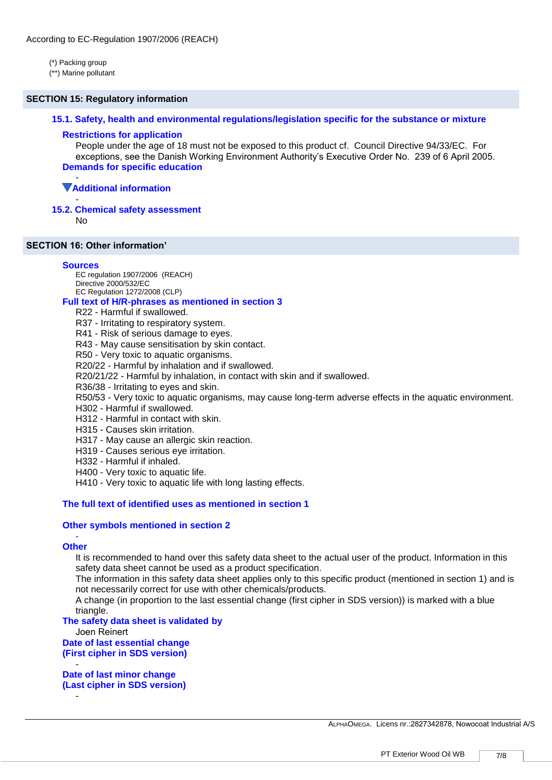(\*) Packing group

(\*\*) Marine pollutant

#### **SECTION 15: Regulatory information**

#### **15.1. Safety, health and environmental regulations/legislation specific for the substance or mixture**

#### **Restrictions for application**

People under the age of 18 must not be exposed to this product cf. Council Directive 94/33/EC. For exceptions, see the Danish Working Environment Authority's Executive Order No. 239 of 6 April 2005. **Demands for specific education**

#### - **Additional information**

#### - **15.2. Chemical safety assessment**

**No** 

#### **SECTION 16: Other information'**

#### **Sources**

EC regulation 1907/2006 (REACH) Directive 2000/532/EC EC Regulation 1272/2008 (CLP)

# **Full text of H/R-phrases as mentioned in section 3**

- R22 Harmful if swallowed.
- R37 Irritating to respiratory system.
- R41 Risk of serious damage to eyes.
- R43 May cause sensitisation by skin contact.
- R50 Very toxic to aquatic organisms.

R20/22 - Harmful by inhalation and if swallowed.

R20/21/22 - Harmful by inhalation, in contact with skin and if swallowed.

R36/38 - Irritating to eyes and skin.

R50/53 - Very toxic to aquatic organisms, may cause long-term adverse effects in the aquatic environment.

- H302 Harmful if swallowed.
- H312 Harmful in contact with skin.
- H315 Causes skin irritation.
- H317 May cause an allergic skin reaction.
- H319 Causes serious eye irritation.
- H332 Harmful if inhaled.
- H400 Very toxic to aquatic life.
- H410 Very toxic to aquatic life with long lasting effects.

# **The full text of identified uses as mentioned in section 1**

#### **Other symbols mentioned in section 2**

#### - **Other**

-

It is recommended to hand over this safety data sheet to the actual user of the product. Information in this safety data sheet cannot be used as a product specification.

The information in this safety data sheet applies only to this specific product (mentioned in section 1) and is not necessarily correct for use with other chemicals/products.

A change (in proportion to the last essential change (first cipher in SDS version)) is marked with a blue triangle.

#### **The safety data sheet is validated by**

Joen Reinert **Date of last essential change** 

**(First cipher in SDS version)**  -

**Date of last minor change (Last cipher in SDS version)** 

ALPHAOMEGA. Licens nr.:2827342878, Nowocoat Industrial A/S